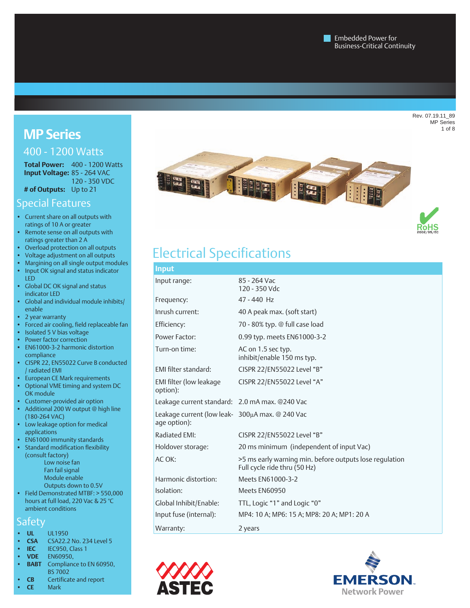Rev. 07.19.11\_89 MP Series 1 of 8

# **MP Series**

# 400 - 1200 Watts

**Total Power:** 400 - 1200 Watts **Input Voltage:** 85 - 264 VAC 120 - 350 VDC **# of Outputs:** Up to 21

Special Features

- • Current share on all outputs with ratings of 10 A or greater
- • Remote sense on all outputs with ratings greater than 2 A
- • Overload protection on all outputs
- • Voltage adjustment on all outputs
- Margining on all single output modules • Input OK signal and status indicator LED
- • Global DC OK signal and status indicator LED
- Global and individual module inhibits/ enable
- • 2 year warranty
- • Forced air cooling, field replaceable fan
- Isolated 5 V bias voltage • Power factor correction
- EN61000-3-2 harmonic distortion compliance
- • CISPR 22, EN55022 Curve B conducted / radiated EMI
- • European CE Mark requirements • Optional VME timing and system DC
- OK module
- Customer-provided air option • Additional 200 W output @ high line (180-264 VAC)
- Low leakage option for medical applications
- EN61000 immunity standards • Standard modification flexibility
- (consult factory) Low noise fan Fan fail signal
	- Module enable Outputs down to 0.5V
- Field Demonstrated MTBF: > 550,000 hours at full load, 220 Vac & 25 °C ambient conditions

# **Safety**

- **• UL** UL1950
- **CSA CSA22.2 No. 234 Level 5**
- **IEC IEC950, Class 1**<br>**VDE EN60950**.
- **• VDE** EN60950,
- **BABT** Compliance to EN 60950, BS 7002
- **CB** Certificate and report







# Electrical Specifications

| <b>Input</b>                                                      |                                                                                         |
|-------------------------------------------------------------------|-----------------------------------------------------------------------------------------|
| Input range:                                                      | 85 - 264 Vac<br>120 - 350 Vdc                                                           |
| Frequency:                                                        | 47 - 440 Hz                                                                             |
| Inrush current:                                                   | 40 A peak max. (soft start)                                                             |
| Efficiency:                                                       | 70 - 80% typ. @ full case load                                                          |
| Power Factor:                                                     | 0.99 typ. meets EN61000-3-2                                                             |
| Turn-on time:                                                     | AC on 1.5 sec typ.<br>inhibit/enable 150 ms typ.                                        |
| EMI filter standard:                                              | CISPR 22/EN55022 Level "B"                                                              |
| EMI filter (low leakage<br>option):                               | CISPR 22/EN55022 Level "A"                                                              |
| Leakage current standard:    2.0 mA max. @240 Vac                 |                                                                                         |
| Leakage current (low leak-   300µA max. @ 240 Vac<br>age option): |                                                                                         |
| Radiated EMI:                                                     | CISPR 22/EN55022 Level "B"                                                              |
| Holdover storage:                                                 | 20 ms minimum (independent of input Vac)                                                |
| AC OK:                                                            | >5 ms early warning min. before outputs lose regulation<br>Full cycle ride thru (50 Hz) |
| Harmonic distortion:                                              | Meets EN61000-3-2                                                                       |
| Isolation:                                                        | Meets EN60950                                                                           |
| Global Inhibit/Enable:                                            | TTL, Logic "1" and Logic "0"                                                            |
| Input fuse (internal):                                            | MP4: 10 A; MP6: 15 A; MP8: 20 A; MP1: 20 A                                              |
| Warranty:                                                         | 2 years                                                                                 |
|                                                                   |                                                                                         |



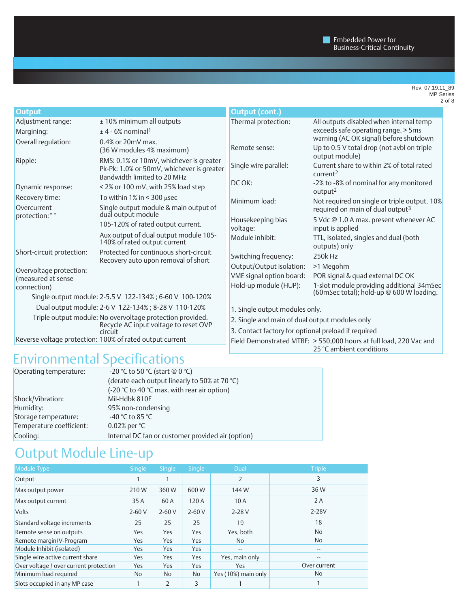Rev. 07.19.11\_89 MP Series 2 of 8

| <b>Output</b>                                            |                                                                                                                     | <b>Output (cont.)</b>                                                                          |                                                                                      |  |  |
|----------------------------------------------------------|---------------------------------------------------------------------------------------------------------------------|------------------------------------------------------------------------------------------------|--------------------------------------------------------------------------------------|--|--|
| Adjustment range:                                        | ± 10% minimum all outputs                                                                                           | Thermal protection:                                                                            | All outputs disabled when internal temp                                              |  |  |
| Margining:                                               | $\pm$ 4 - 6% nominal <sup>1</sup>                                                                                   |                                                                                                | exceeds safe operating range. > 5ms                                                  |  |  |
| Overall regulation:                                      | $0.4\%$ or $20mV$ max.                                                                                              | Remote sense:                                                                                  | warning (AC OK signal) before shutdown<br>Up to 0.5 V total drop (not avbl on triple |  |  |
|                                                          | (36 W modules 4% maximum)                                                                                           |                                                                                                | output module)                                                                       |  |  |
| Ripple:                                                  | RMS: 0.1% or 10mV, whichever is greater<br>Pk-Pk: 1.0% or 50mV, whichever is greater<br>Bandwidth limited to 20 MHz | Single wire parallel:                                                                          | Current share to within 2% of total rated<br>current <sup>2</sup>                    |  |  |
| Dynamic response:                                        | < 2% or 100 mV, with 25% load step                                                                                  | DC OK:                                                                                         | -2% to -8% of nominal for any monitored<br>output <sup>2</sup>                       |  |  |
| Recovery time:                                           | To within $1\%$ in < 300 µsec                                                                                       | Minimum load:                                                                                  | Not required on single or triple output. 10%                                         |  |  |
| Overcurrent<br>protection:**                             | Single output module & main output of<br>dual output module                                                         |                                                                                                | required on main of dual output <sup>3</sup>                                         |  |  |
|                                                          | 105-120% of rated output current.                                                                                   | Housekeeping bias                                                                              | 5 Vdc @ 1.0 A max. present whenever AC                                               |  |  |
|                                                          | Aux output of dual output module 105-                                                                               | voltage:                                                                                       | input is applied                                                                     |  |  |
|                                                          | 140% of rated output current                                                                                        | Module inhibit:                                                                                | TTL, isolated, singles and dual (both<br>outputs) only                               |  |  |
| Short-circuit protection:                                | Protected for continuous short-circuit                                                                              | Switching frequency:                                                                           | 250k Hz                                                                              |  |  |
|                                                          | Recovery auto upon removal of short                                                                                 | Output/Output isolation:                                                                       | >1 Megohm                                                                            |  |  |
| Overvoltage protection:                                  |                                                                                                                     | VME signal option board:                                                                       | POR signal & quad external DC OK                                                     |  |  |
| (measured at sense<br>connection)                        |                                                                                                                     | Hold-up module (HUP):                                                                          | 1-slot module providing additional 34mSec                                            |  |  |
|                                                          | Single output module: 2-5.5 V 122-134%; 6-60 V 100-120%                                                             |                                                                                                | (60mSec total); hold-up @ 600 W loading.                                             |  |  |
|                                                          | Dual output module: 2-6 V 122-134%; 8-28 V 110-120%                                                                 | 1. Single output modules only.                                                                 |                                                                                      |  |  |
|                                                          | Triple output module: No overvoltage protection provided.                                                           | 2. Single and main of dual output modules only                                                 |                                                                                      |  |  |
| Recycle AC input voltage to reset OVP<br>circuit         |                                                                                                                     | 3. Contact factory for optional preload if required                                            |                                                                                      |  |  |
| Reverse voltage protection: 100% of rated output current |                                                                                                                     | Field Demonstrated MTBF: > 550,000 hours at full load, 220 Vac and<br>25 °C ambient conditions |                                                                                      |  |  |

# Environmental Specifications

| Operating temperature:   | -20 °C to 50 °C (start $@0$ °C)                   |  |  |  |  |
|--------------------------|---------------------------------------------------|--|--|--|--|
|                          | (derate each output linearly to 50% at 70 °C)     |  |  |  |  |
|                          | (-20 °C to 40 °C max. with rear air option)       |  |  |  |  |
| Shock/Vibration:         | Mil-Hdbk 810E                                     |  |  |  |  |
| Humidity:                | 95% non-condensing                                |  |  |  |  |
| Storage temperature:     | -40 °C to 85 °C                                   |  |  |  |  |
| Temperature coefficient: | $0.02\%$ per $°C$                                 |  |  |  |  |
| Cooling:                 | Internal DC fan or customer provided air (option) |  |  |  |  |

# Output Module Line-up

| Module Type                            | Single  | Single         | Single    | Dual                | <b>Triple</b> |
|----------------------------------------|---------|----------------|-----------|---------------------|---------------|
| Output                                 |         |                |           | $\overline{2}$      | 3             |
| Max output power                       | 210W    | 360W           | 600W      | 144 W               | 36W           |
| Max output current                     | 35 A    | 60 A           | 120 A     | 10A                 | 2 A           |
| <b>Volts</b>                           | $2-60V$ | $2 - 60V$      | $2 - 60V$ | $2 - 28V$           | 2-28V         |
| Standard voltage increments            | 25      | 25             | 25        | 19                  | 18            |
| Remote sense on outputs                | Yes     | Yes            | Yes       | Yes, both           | No            |
| Remote margin/V-Program                | Yes     | Yes            | Yes       | No.                 | No.           |
| Module Inhibit (isolated)              | Yes     | Yes            | Yes       | $- -$               | --            |
| Single wire active current share       | Yes     | Yes            | Yes       | Yes, main only      | $-$           |
| Over voltage / over current protection | Yes     | Yes            | Yes       | Yes                 | Over current  |
| Minimum load required                  | No      | No.            | No.       | Yes (10%) main only | No.           |
| Slots occupied in any MP case          |         | $\overline{2}$ | 3         |                     |               |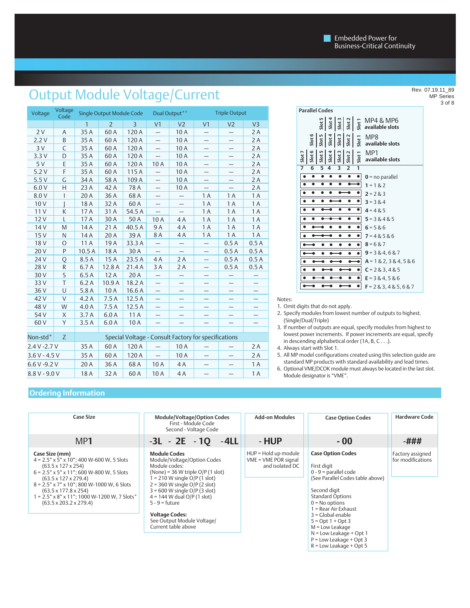# Output Module Voltage/Current

| Voltage         | Voltage<br>Code | Single Output Module Code |                | Dual Output**  |                          | <b>Triple Output</b>     |                                                      |                   |                |
|-----------------|-----------------|---------------------------|----------------|----------------|--------------------------|--------------------------|------------------------------------------------------|-------------------|----------------|
|                 |                 | $\mathbf{1}$              | $\overline{2}$ | $\overline{3}$ | V <sub>1</sub>           | V <sub>2</sub>           | V <sub>1</sub>                                       | V <sub>2</sub>    | V <sub>3</sub> |
| 2V              | Α               | 35A                       | 60 A           | 120 A          | -                        | 10A                      | $\qquad \qquad -$                                    | $\qquad \qquad -$ | 2A             |
| 2.2V            | B               | 35A                       | 60 A           | 120 A          | $\overline{\phantom{0}}$ | 10 A                     | $\overline{\phantom{0}}$                             |                   | 2A             |
| 3V              | C               | 35 A                      | 60 A           | 120 A          | $\overline{\phantom{0}}$ | 10 A                     | $\qquad \qquad -$                                    | $\qquad \qquad -$ | 2 A            |
| 3.3V            | D               | 35A                       | 60 A           | 120 A          | $\equiv$                 | 10 A                     | —                                                    |                   | 2A             |
| 5V              | E               | 35 A                      | 60 A           | 120 A          | 10A                      | 10 A                     |                                                      | —                 | 2A             |
| 5.2V            | F               | 35 A                      | 60 A           | 115 A          |                          | 10 A                     | $\overline{\phantom{0}}$                             | —                 | 2A             |
| 5.5V            | C               | 34 A                      | 58 A           | 109 A          |                          | 10A                      |                                                      |                   | 2A             |
| 6.0V            | Н               | 23 A                      | 42 A           | 78 A           |                          | 10A                      |                                                      |                   | 2 A            |
| 8.0 V           | I               | 20 A                      | 36 A           | 68 A           |                          |                          | 1 A                                                  | 1 A               | 1 A            |
| 10V             |                 | 18 A                      | 32 A           | 60 A           |                          |                          | 1 A                                                  | 1 A               | 1 A            |
| 11 V            | К               | 17 A                      | 31 A           | 54.5 A         |                          | $\overline{\phantom{0}}$ | 1 A                                                  | 1 A               | 1 A            |
| 12 V            | L               | 17 A                      | 30 A           | 50 A           | 10A                      | 4A                       | 1 A                                                  | 1 A               | 1 A            |
| 14 <sub>V</sub> | M               | 14 A                      | 21 A           | 40.5 A         | 9 A                      | 4A                       | 1 A                                                  | 1 A               | 1 A            |
| 15V             | N               | 14 A                      | 20 A           | 39 A           | 8 A                      | 4 A                      | 1 A                                                  | 1 A               | 1 A            |
| 18 <sub>V</sub> | $\circ$         | 11 A                      | 19 A           | 33.3 A         |                          |                          | $\qquad \qquad -$                                    | 0.5A              | 0.5A           |
| 20 V            | P               | 10.5A                     | 18 A           | 30 A           |                          | $\overline{\phantom{0}}$ | $\overline{\phantom{0}}$                             | 0.5A              | 0.5A           |
| 24 V            | Q               | 8.5 A                     | 15 A           | 23.5 A         | 4 A                      | 2 A                      | $\overline{\phantom{0}}$                             | 0.5A              | 0.5A           |
| 28 V            | R               | 6.7 A                     | 12.8 A         | 21.4A          | 3 A                      | 2 A                      | $\qquad \qquad -$                                    | 0.5A              | 0.5A           |
| 30 V            | S               | 6.5A                      | 12 A           | 20 A           |                          |                          |                                                      |                   |                |
| 33 V            | T               | 6.2A                      | 10.9A          | 18.2 A         | $\overline{\phantom{0}}$ |                          |                                                      |                   |                |
| 36 V            | U               | 5.8A                      | 10A            | 16.6 A         |                          |                          |                                                      |                   |                |
| 42 V            | V               | 4.2 A                     | 7.5A           | 12.5A          |                          |                          |                                                      |                   |                |
| 48 V            | W               | 4.0A                      | 7.5A           | 12.5A          | $\qquad \qquad -$        | $\qquad \qquad -$        |                                                      |                   |                |
| 54 V            | X               | 3.7A                      | 6.0A           | 11 A           |                          |                          |                                                      |                   |                |
| 60 V            | Y               | 3.5A                      | 6.0A           | 10A            |                          |                          |                                                      | —                 |                |
|                 |                 |                           |                |                |                          |                          |                                                      |                   |                |
| Non-std*        | Z               |                           |                |                |                          |                          | Special Voltage - Consult Factory for specifications |                   |                |
| 2.4 V - 2.7 V   |                 | 35A                       | 60A            | 120 A          |                          | 10A                      | $\qquad \qquad -$                                    |                   | 2 A            |
| $3.6 V - 4.5 V$ |                 | 35 A                      | 60 A           | 120 A          |                          | 10A                      |                                                      |                   | 2A             |
| 6.6 V - 9.2 V   |                 | 20 A                      | 36 A           | 68 A           | 10A                      | 4 A                      |                                                      |                   | 1 A            |
| $8.8 V - 9.0 V$ |                 | 18A                       | 32 A           | 60 A           | 10A                      | 4A                       |                                                      |                   | 1 A            |

|        | <b>Parallel Codes</b> |        |       |      |                   |                   |                                                                                                                                           |
|--------|-----------------------|--------|-------|------|-------------------|-------------------|-------------------------------------------------------------------------------------------------------------------------------------------|
|        |                       |        |       |      |                   |                   | $\frac{16}{5} \left  \frac{3}{5} \right  \left  \frac{2}{5} \right  \left  \frac{2}{5} \right  \left  \frac{1}{5} \right $ MP4 & MP6      |
|        |                       |        |       |      |                   |                   | $\frac{16}{56}$ $\frac{16}{56}$ $\frac{1}{56}$ $\frac{1}{56}$ $\frac{1}{56}$ $\frac{1}{56}$ $\frac{1}{56}$ $\frac{1}{56}$ available slots |
| Slot : |                       | slot 5 | slot4 | slot | Slot <sub>2</sub> | Slot <sub>1</sub> | MP1<br>available slots                                                                                                                    |
| 7      | 6                     | 5      | Δ     | 3    | $\overline{2}$    | 1                 |                                                                                                                                           |
|        |                       |        |       |      |                   |                   | $0 = no$ parallel                                                                                                                         |
| ٠      |                       |        |       |      |                   |                   | $1 = 182$                                                                                                                                 |
|        |                       |        |       |      |                   |                   | $2 = 283$                                                                                                                                 |
|        |                       |        |       |      |                   |                   | $3 = 384$                                                                                                                                 |
|        |                       |        |       |      |                   |                   | $4 = 485$                                                                                                                                 |
|        |                       |        |       |      |                   |                   | $5 = 38485$                                                                                                                               |
|        |                       |        | Ω     | e    | ٠                 | $\bullet$         | $6 = 586$                                                                                                                                 |
|        |                       |        |       |      |                   |                   | $7 = 48586$                                                                                                                               |
|        |                       |        |       |      |                   |                   | $8 = 6 & 7$                                                                                                                               |
|        |                       |        |       |      |                   | $\bullet$         | $9 = 3 & 4 & 6 & 7$                                                                                                                       |
|        |                       |        |       |      |                   |                   | $A = 182, 384, 586$                                                                                                                       |
|        |                       |        |       |      |                   |                   | $C = 2 & 3, 4 & 5$                                                                                                                        |
|        |                       |        |       |      |                   | ٠                 | $E = 384, 586$                                                                                                                            |
|        |                       |        |       |      |                   | $\bullet$         | $F = 283, 485, 687$                                                                                                                       |
|        |                       |        |       |      |                   |                   |                                                                                                                                           |

Notes:

1. Omit digits that do not apply.

- 2. Specify modules from lowest number of outputs to highest. (Single/Dual/Triple)
- 3. If number of outputs are equal, specify modules from highest to lowest power increments. If power increments are equal, specify in descending alphabetical order (1A, B, C . . .).
- 4. Always start with Slot 1.
- 5. All MP model configurations created using this selection guide are standard MP products with standard availability and lead times.
- 6. Optional VME/DCOK module must always be located in the last slot. Module designator is "VME".

### **Ordering Information**

| <b>Case Size</b>                                                                                                                                                                                                                                                                                                                                                                            | <b>Add-on Modules</b>                                                                                                                                                                                                                                                                                                                                | <b>Case Option Codes</b>                                          | <b>Hardware Code</b>                                                                                                                                                                                                                                                                                                                                  |                                       |
|---------------------------------------------------------------------------------------------------------------------------------------------------------------------------------------------------------------------------------------------------------------------------------------------------------------------------------------------------------------------------------------------|------------------------------------------------------------------------------------------------------------------------------------------------------------------------------------------------------------------------------------------------------------------------------------------------------------------------------------------------------|-------------------------------------------------------------------|-------------------------------------------------------------------------------------------------------------------------------------------------------------------------------------------------------------------------------------------------------------------------------------------------------------------------------------------------------|---------------------------------------|
| MP1                                                                                                                                                                                                                                                                                                                                                                                         | $-3L - 2E - 1Q - 4LL$                                                                                                                                                                                                                                                                                                                                | - HUP                                                             | $-00$                                                                                                                                                                                                                                                                                                                                                 | -###                                  |
| Case Size (mm)<br>$4 = 2.5" \times 5" \times 10"$ ; 400 W-600 W, 5 Slots<br>$(63.5 \times 127 \times 254)$<br>$6 = 2.5" \times 5" \times 11"$ ; 600 W-800 W, 5 Slots<br>$(63.5 \times 127 \times 279.4)$<br>8 = 2.5" x 7" x 10"; 800 W-1000 W, 6 Slots<br>$(63.5 \times 177.8 \times 254)$<br>$= 2.5" \times 8" \times 11"$ ; 1000 W-1200 W, 7 Slots*<br>$(63.5 \times 203.2 \times 279.4)$ | <b>Module Codes</b><br>Module/Voltage/Option Codes<br>Module codes:<br>(None) = $36$ W triple O/P (1 slot)<br>$= 210$ W single O/P (1 slot)<br>$2 = 360$ W single O/P (2 slot)<br>$3 = 600$ W single O/P (3 slot)<br>$4 = 144$ W dual O/P (1 slot)<br>$5 - 9 =$ future<br><b>Voltage Codes:</b><br>See Output Module Voltage/<br>Current table above | HUP = Hold up module<br>$VME = VME POR signal$<br>and isolated DC | <b>Case Option Codes</b><br>First digit<br>$0 - 9$ = parallel code<br>(See Parallel Codes table above)<br>Second digit<br><b>Standard Options</b><br>$0 = No$ options<br>1 = Rear Air Exhaust<br>$3 = Global$ enable<br>$5 = Opt 1 + Opt 3$<br>M = Low Leakage<br>$N =$ Low Leakage + Opt 1<br>$P = Low$ Leakage + Opt 3<br>$R =$ Low Leakage + Opt 5 | Factory assigned<br>for modifications |

Rev. 07.19.11\_89 MP Series 3 of 8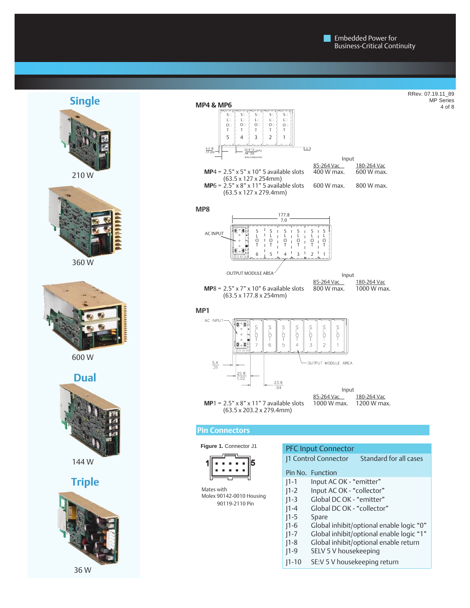RRev. 07.19.11\_89 MP Series 4 of 8



## **Single**



210 W



360 W



600 W

**Dual**



144 W

# **Triple**

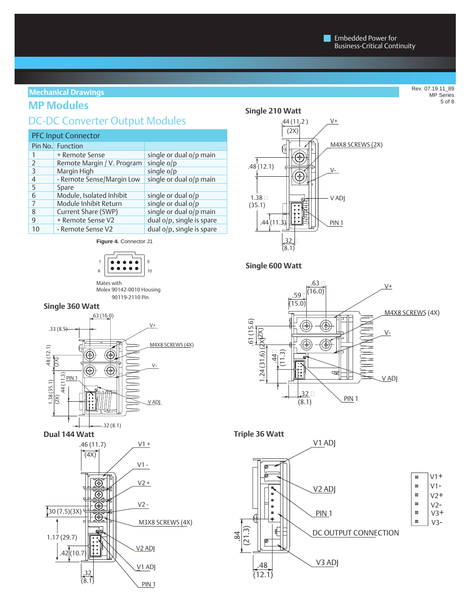### **Mechanical Drawings**

# **MP Modules**

# DC-DC Converter Output Modules

| <b>PFC Input Connector</b> |                            |                           |  |  |  |  |
|----------------------------|----------------------------|---------------------------|--|--|--|--|
|                            | Pin No. Function           |                           |  |  |  |  |
|                            | + Remote Sense             | single or dual o/p main   |  |  |  |  |
| $\overline{2}$             | Remote Margin / V. Program | single $o/p$              |  |  |  |  |
| 3                          | Margin High                | single o/p                |  |  |  |  |
| 4                          | - Remote Sense/Margin Low  | single or dual o/p main   |  |  |  |  |
| 5                          | Spare                      |                           |  |  |  |  |
| 6                          | Module, Isolated Inhibit   | single or dual $o/p$      |  |  |  |  |
|                            | Module Inhibit Return      | single or dual o/p        |  |  |  |  |
| 8                          | Current Share (SWP)        | single or dual o/p main   |  |  |  |  |
| 9                          | + Remote Sense V2          | dual o/p, single is spare |  |  |  |  |
| 10                         | - Remote Sense V2          | dual o/p, single is spare |  |  |  |  |

**Figure 4.** Connector J1



Mates with Molex 90142-0010 Housing 90119-2110 Pin

#### **Single 360 Watt**



**Dual 144 Watt**



**Single 210 Watt**



### **Single 600 Watt**

![](_page_4_Figure_15.jpeg)

![](_page_4_Figure_16.jpeg)

Rev. 07.19.11\_89 MP Series 5 of 8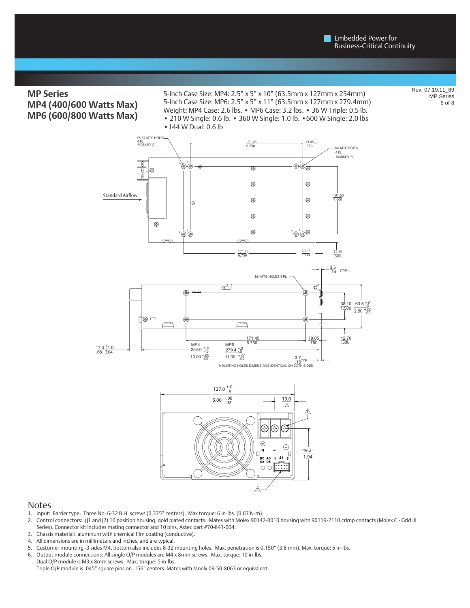## **MP Series MP4 (400/600 Watts Max) MP6 (600/800 Watts Max)**

#### 5-Inch Case Size: MP4: 2.5" x 5" x 10" (63.5mm x 127mm x 254mm) 5-Inch Case Size: MP6: 2.5" x 5" x 11" (63.5mm x 127mm x 279.4mm) Weight: MP4 Case: 2.6 lbs. • MP6 Case: 3.2 lbs. • 36 W Triple: 0.5 lb. • 210 W Single: 0.6 lb. • 360 W Single: 1.0 lb. •600 W Single: 2.0 lbs •144 W Dual: 0.6 lb

Rev. 07.19.11\_89 MP Series 6 of 8

![](_page_5_Figure_4.jpeg)

#### Notes

- 1. Input: Barrier type. Three No. 6-32 B.H. screws (0.375" centers). Max torque: 6 in-lbs. (0.67 N-m).
- 2. Control connectors: (J1 and J2) 10 position housing, gold plated contacts. Mates with Molex 90142-0010 housing with 90119-2110 crimp contacts (Molex C Grid III Series). Connector kit includes mating connector and 10 pins, Astec part #70-841-004.

D

- 3. Chassis material: aluminum with chemical film coating (conductive).
- 4. All dimensions are in millimeters and inches, and are typical.
- 5. Customer mounting -3 sides M4, bottom also includes 8-32 mounting holes. Max. penetration is 0.150" (3.8 mm). Max. torque: 5 in-lbs.
- 6. Output module connections: All single O/P modules are M4 x 8mm screws. Max. torque: 10 in-lbs.
- Dual O/P module is M3 x 8mm screws. Max. torque: 5 in-lbs. Triple O/P module is .045" square pins on .156" centers. Mates with Moelx 09-50-8063 or equivalent.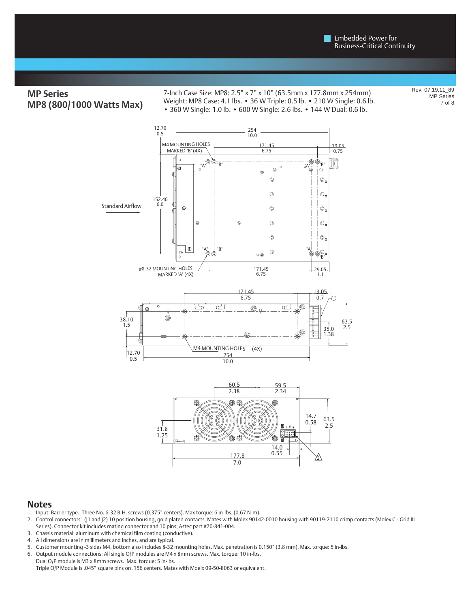# **MP Series MP8 (800/1000 Watts Max)**

7-Inch Case Size: MP8: 2.5" x 7" x 10" (63.5mm x 177.8mm x 254mm) Weight: MP8 Case: 4.1 lbs. • 36 W Triple: 0.5 lb. • 210 W Single: 0.6 lb. • 360 W Single: 1.0 lb. • 600 W Single: 2.6 lbs. • 144 W Dual: 0.6 lb.

Rev. 07.19.11\_89 MP Series 7 of 8

![](_page_6_Figure_4.jpeg)

#### **Notes**

- 1. Input: Barrier type. Three No. 6-32 B.H. screws (0.375" centers). Max torque: 6 in-lbs. (0.67 N-m).
- 2. Control connectors: (J1 and J2) 10 position housing, gold plated contacts. Mates with Molex 90142-0010 housing with 90119-2110 crimp contacts (Molex C Grid III Series). Connector kit includes mating connector and 10 pins, Astec part #70-841-004.

177.8 7.0 0.55

2

- 3. Chassis material: aluminum with chemical film coating (conductive).
- 4. All dimensions are in millimeters and inches, and are typical.
- 5. Customer mounting -3 sides M4, bottom also includes 8-32 mounting holes. Max. penetration is 0.150" (3.8 mm). Max. torque: 5 in-lbs.
- 6. Output module connections: All single O/P modules are M4 x 8mm screws. Max. torque: 10 in-lbs.

Dual O/P module is M3 x 8mm screws. Max. torque: 5 in-lbs. Triple O/P Module is .045" square pins on .156 centers. Mates with Moelx 09-50-8063 or equivalent.